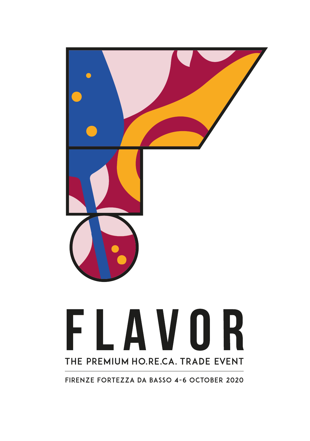

## FLAVOR the premium ho.re.ca. trade event

firenze FORTEZZA DA BASSO 4-6 OCTOBER 2020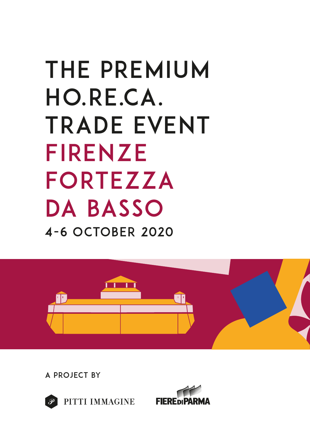## 4-6 OCTOBER 2020 the premium ho.re.ca. trade event FIRENZE FORTEZZA DA BASSO



A PROJECT BY



PITTI IMMAGINE

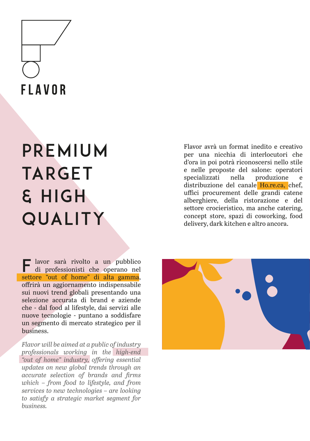# **FLAVOR**

#### PREMIUM TARGET & HIGH **QUALITY**

lavor sarà rivolto a un pubblico di professionisti che operano nel settore "out of home" di alta gamma, offrirà un aggiornamento indispensabile sui nuovi trend globali presentando una selezione accurata di brand e aziende che - dal food al lifestyle, dai servizi alle nuove tecnologie - puntano a soddisfare un segmento di mercato strategico per il business. F

*Flavor will be aimed at a public of industry professionals working in the high-end "out of home" industry, offering essential updates on new global trends through an accurate selection of brands and firms which – from food to lifestyle, and from services to new technologies – are looking to satisfy a strategic market segment for business.* 

Flavor avrà un format inedito e creativo per una nicchia di interlocutori che d'ora in poi potrà riconoscersi nello stile e nelle proposte del salone: operatori specializzati nella produzione e distribuzione del canale Ho.re.ca, chef, uffici procurement delle grandi catene alberghiere, della ristorazione e del settore crocieristico, ma anche catering, concept store, spazi di coworking, food delivery, dark kitchen e altro ancora.

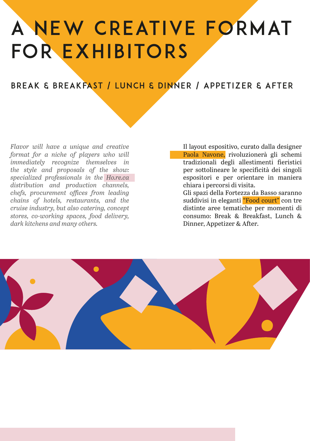### a NEW CREATIVE FORMAT FOR EXHIBITORS

#### BREAK & BREAKFAST / LUNCH & DINNER / APPETIZER & AFTER

*Flavor will have a unique and creative format for a niche of players who will immediately recognize themselves in the style and proposals of the show: specialized professionals in the Ho.re.ca distribution and production channels, chefs, procurement offices from leading chains of hotels, restaurants, and the cruise industry, but also catering, concept stores, co-working spaces, food delivery, dark kitchens and many others.* 

Il layout espositivo, curato dalla designer Paola Navone, rivoluzionerà gli schemi tradizionali degli allestimenti fieristici per sottolineare le specificità dei singoli espositori e per orientare in maniera chiara i percorsi di visita.

Gli spazi della Fortezza da Basso saranno suddivisi in eleganti "Food court" con tre distinte aree tematiche per momenti di consumo: Break & Breakfast, Lunch & Dinner, Appetizer & After.

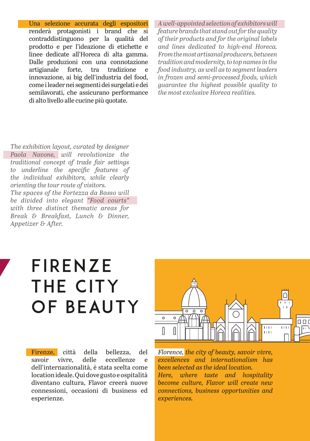Una selezione accurata degli espositori renderà protagonisti i brand che si contraddistinguono per la qualità del prodotto e per l'ideazione di etichette e linee dedicate all'Horeca di alta gamma. Dalle produzioni con una connotazione artigianale forte, tra tradizione e innovazione, ai big dell'industria del food, come i leader nei segmenti dei surgelati e dei semilavorati, che assicurano performance di alto livello alle cucine più quotate.

*A well-appointed selection of exhibitors will feature brands that stand out for the quality of their products and for the original labels and lines dedicated to high-end Horeca. From the most artisanal producers, between tradition and modernity, to top names in the food industry, as well as to segment leaders in frozen and semi-processed foods, which guarantee the highest possible quality to the most exclusive Horeca realities.*

*The exhibition layout, curated by designer Paola Navone, will revolutionize the traditional concept of trade fair settings to underline the specific features of the individual exhibitors, while clearly orienting the tour route of visitors. The spaces of the Fortezza da Basso will be divided into elegant "Food courts" with three distinct thematic areas for Break & Breakfast, Lunch & Dinner, Appetizer & After.*

#### FIRENZE THE CITY of beauty

Firenze, città della bellezza, del savoir vivre, delle eccellenze e dell'internazionalità, è stata scelta come location ideale. Qui dove gusto e ospitalità diventano cultura, Flavor creerà nuove connessioni, occasioni di business ed esperienze.



*Florence, the city of beauty, savoir vivre, excellences and internationalism has been selected as the ideal location. Here, where taste and hospitality become culture, Flavor will create new connections, business opportunities and experiences.*